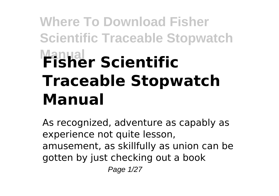# **Where To Download Fisher Scientific Traceable Stopwatch Manual Fisher Scientific Traceable Stopwatch Manual**

As recognized, adventure as capably as experience not quite lesson, amusement, as skillfully as union can be gotten by just checking out a book Page 1/27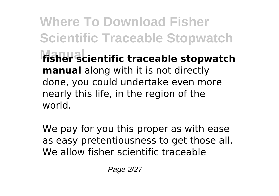**Where To Download Fisher Scientific Traceable Stopwatch Manual fisher scientific traceable stopwatch manual** along with it is not directly done, you could undertake even more nearly this life, in the region of the world.

We pay for you this proper as with ease as easy pretentiousness to get those all. We allow fisher scientific traceable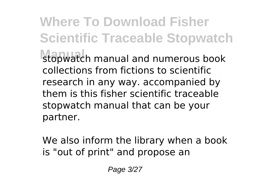**Where To Download Fisher Scientific Traceable Stopwatch Manual** stopwatch manual and numerous book collections from fictions to scientific research in any way. accompanied by them is this fisher scientific traceable stopwatch manual that can be your partner.

We also inform the library when a book is "out of print" and propose an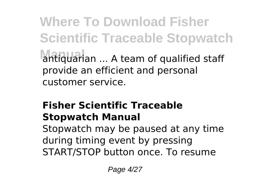**Where To Download Fisher Scientific Traceable Stopwatch** antiquarian ... A team of qualified staff provide an efficient and personal customer service.

#### **Fisher Scientific Traceable Stopwatch Manual**

Stopwatch may be paused at any time during timing event by pressing START/STOP button once. To resume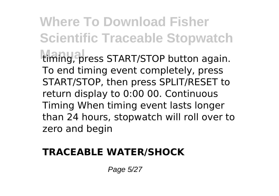**Where To Download Fisher Scientific Traceable Stopwatch** timing, press START/STOP button again. To end timing event completely, press START/STOP, then press SPLIT/RESET to return display to 0:00 00. Continuous Timing When timing event lasts longer than 24 hours, stopwatch will roll over to zero and begin

#### **TRACEABLE WATER/SHOCK**

Page 5/27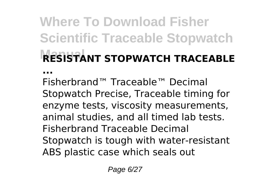### **Where To Download Fisher Scientific Traceable Stopwatch RESISTANT STOPWATCH TRACEABLE ...**

Fisherbrand™ Traceable™ Decimal Stopwatch Precise, Traceable timing for enzyme tests, viscosity measurements, animal studies, and all timed lab tests. Fisherbrand Traceable Decimal Stopwatch is tough with water-resistant ABS plastic case which seals out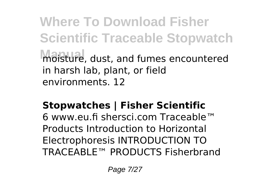**Where To Download Fisher Scientific Traceable Stopwatch Manual** moisture, dust, and fumes encountered in harsh lab, plant, or field environments. 12

#### **Stopwatches | Fisher Scientific**

6 www.eu.fi shersci.com Traceable™ Products Introduction to Horizontal Electrophoresis INTRODUCTION TO TRACEABLE™ PRODUCTS Fisherbrand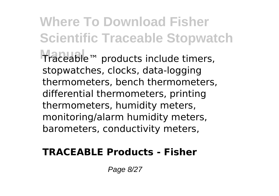**Where To Download Fisher Scientific Traceable Stopwatch Manual** Traceable™ products include timers, stopwatches, clocks, data-logging thermometers, bench thermometers, differential thermometers, printing thermometers, humidity meters, monitoring/alarm humidity meters, barometers, conductivity meters,

#### **TRACEABLE Products - Fisher**

Page 8/27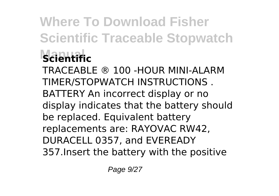# **Where To Download Fisher Scientific Traceable Stopwatch Manual Scientific**

TRACEABLE ® 100 -HOUR MINI-ALARM TIMER/STOPWATCH INSTRUCTIONS . BATTERY An incorrect display or no display indicates that the battery should be replaced. Equivalent battery replacements are: RAYOVAC RW42, DURACELL 0357, and EVEREADY 357.Insert the battery with the positive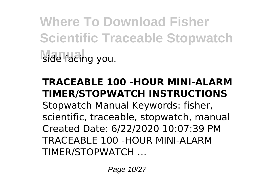**Where To Download Fisher Scientific Traceable Stopwatch** side facing you.

#### **TRACEABLE 100 -HOUR MINI-ALARM TIMER/STOPWATCH INSTRUCTIONS**

Stopwatch Manual Keywords: fisher, scientific, traceable, stopwatch, manual Created Date: 6/22/2020 10:07:39 PM TRACEABLE 100 -HOUR MINI-ALARM TIMER/STOPWATCH …

Page 10/27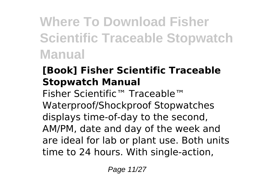## **Where To Download Fisher Scientific Traceable Stopwatch Manual**

#### **[Book] Fisher Scientific Traceable Stopwatch Manual**

Fisher Scientific™ Traceable™ Waterproof/Shockproof Stopwatches displays time-of-day to the second, AM/PM, date and day of the week and are ideal for lab or plant use. Both units time to 24 hours. With single-action,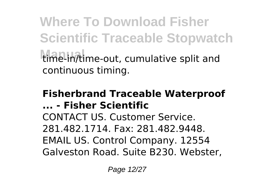**Where To Download Fisher Scientific Traceable Stopwatch Manual** time-in/time-out, cumulative split and continuous timing.

#### **Fisherbrand Traceable Waterproof ... - Fisher Scientific** CONTACT US. Customer Service. 281.482.1714. Fax: 281.482.9448. EMAIL US. Control Company. 12554 Galveston Road. Suite B230. Webster,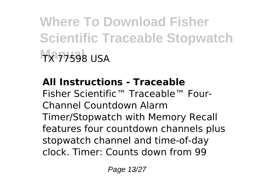**Where To Download Fisher Scientific Traceable Stopwatch Manual** TX 77598 USA

**All Instructions - Traceable** Fisher Scientific™ Traceable™ Four-Channel Countdown Alarm Timer/Stopwatch with Memory Recall features four countdown channels plus stopwatch channel and time-of-day clock. Timer: Counts down from 99

Page 13/27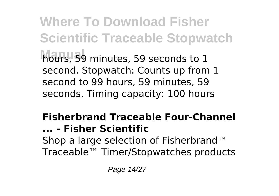**Where To Download Fisher Scientific Traceable Stopwatch Manual** hours, 59 minutes, 59 seconds to 1 second. Stopwatch: Counts up from 1 second to 99 hours, 59 minutes, 59 seconds. Timing capacity: 100 hours

#### **Fisherbrand Traceable Four-Channel ... - Fisher Scientific** Shop a large selection of Fisherbrand™ Traceable™ Timer/Stopwatches products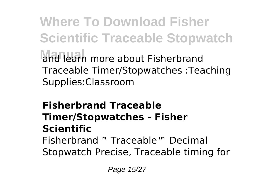**Where To Download Fisher Scientific Traceable Stopwatch Manual** and learn more about Fisherbrand Traceable Timer/Stopwatches :Teaching Supplies:Classroom

#### **Fisherbrand Traceable Timer/Stopwatches - Fisher Scientific** Fisherbrand™ Traceable™ Decimal

Stopwatch Precise, Traceable timing for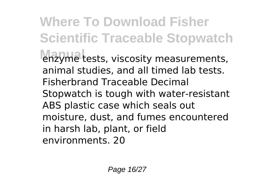**Where To Download Fisher Scientific Traceable Stopwatch** enzyme tests, viscosity measurements, animal studies, and all timed lab tests. Fisherbrand Traceable Decimal Stopwatch is tough with water-resistant ABS plastic case which seals out moisture, dust, and fumes encountered in harsh lab, plant, or field environments. 20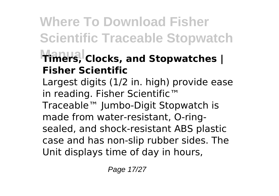### **Where To Download Fisher Scientific Traceable Stopwatch Manual Timers, Clocks, and Stopwatches | Fisher Scientific**

Largest digits (1/2 in. high) provide ease in reading. Fisher Scientific™ Traceable™ Jumbo-Digit Stopwatch is made from water-resistant, O-ringsealed, and shock-resistant ABS plastic case and has non-slip rubber sides. The Unit displays time of day in hours,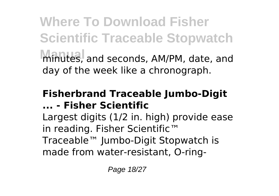**Where To Download Fisher Scientific Traceable Stopwatch Manual** minutes, and seconds, AM/PM, date, and day of the week like a chronograph.

#### **Fisherbrand Traceable Jumbo-Digit ... - Fisher Scientific**

Largest digits (1/2 in. high) provide ease in reading. Fisher Scientific™ Traceable™ Jumbo-Digit Stopwatch is made from water-resistant, O-ring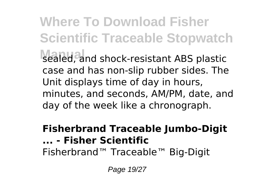**Where To Download Fisher Scientific Traceable Stopwatch** sealed, and shock-resistant ABS plastic case and has non-slip rubber sides. The Unit displays time of day in hours, minutes, and seconds, AM/PM, date, and day of the week like a chronograph.

#### **Fisherbrand Traceable Jumbo-Digit ... - Fisher Scientific** Fisherbrand™ Traceable™ Big-Digit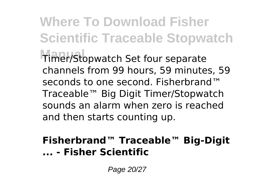**Where To Download Fisher Scientific Traceable Stopwatch Manual** Timer/Stopwatch Set four separate channels from 99 hours, 59 minutes, 59 seconds to one second. Fisherbrand™ Traceable™ Big Digit Timer/Stopwatch sounds an alarm when zero is reached and then starts counting up.

#### **Fisherbrand™ Traceable™ Big-Digit ... - Fisher Scientific**

Page 20/27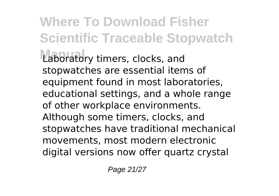**Where To Download Fisher Scientific Traceable Stopwatch** Laboratory timers, clocks, and stopwatches are essential items of equipment found in most laboratories, educational settings, and a whole range of other workplace environments. Although some timers, clocks, and stopwatches have traditional mechanical movements, most modern electronic digital versions now offer quartz crystal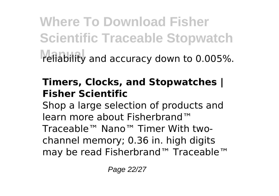**Where To Download Fisher Scientific Traceable Stopwatch** reliability and accuracy down to 0.005%.

#### **Timers, Clocks, and Stopwatches | Fisher Scientific**

Shop a large selection of products and learn more about Fisherbrand™ Traceable™ Nano™ Timer With twochannel memory; 0.36 in. high digits may be read Fisherbrand™ Traceable™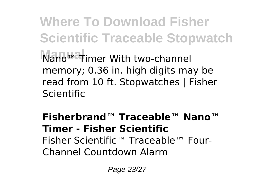**Where To Download Fisher Scientific Traceable Stopwatch Nano™ Timer With two-channel** memory; 0.36 in. high digits may be read from 10 ft. Stopwatches | Fisher Scientific

**Fisherbrand™ Traceable™ Nano™ Timer - Fisher Scientific** Fisher Scientific™ Traceable™ Four-Channel Countdown Alarm

Page 23/27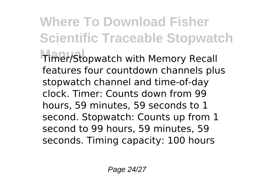**Where To Download Fisher Scientific Traceable Stopwatch Manual** Timer/Stopwatch with Memory Recall features four countdown channels plus stopwatch channel and time-of-day clock. Timer: Counts down from 99 hours, 59 minutes, 59 seconds to 1 second. Stopwatch: Counts up from 1 second to 99 hours, 59 minutes, 59 seconds. Timing capacity: 100 hours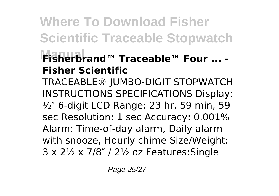### **Where To Download Fisher Scientific Traceable Stopwatch Manual Fisherbrand™ Traceable™ Four ... - Fisher Scientific**

TRACEABLE® JUMBO-DIGIT STOPWATCH INSTRUCTIONS SPECIFICATIONS Display: ½″ 6-digit LCD Range: 23 hr, 59 min, 59 sec Resolution: 1 sec Accuracy: 0.001% Alarm: Time-of-day alarm, Daily alarm with snooze, Hourly chime Size/Weight: 3 x 2½ x 7/8″ / 2½ oz Features:Single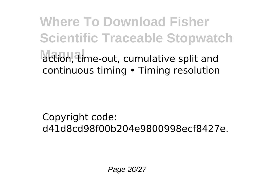**Where To Download Fisher Scientific Traceable Stopwatch Manual** action, time-out, cumulative split and continuous timing • Timing resolution

Copyright code: d41d8cd98f00b204e9800998ecf8427e.

Page 26/27